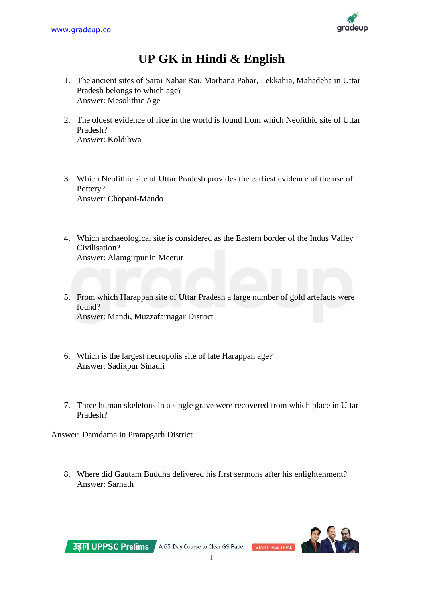

## **UP GK in Hindi & English**

- 1. The ancient sites of Sarai Nahar Rai, Morhana Pahar, Lekkahia, Mahadeha in Uttar Pradesh belongs to which age? Answer: Mesolithic Age
- 2. The oldest evidence of rice in the world is found from which Neolithic site of Uttar Pradesh? Answer: Koldihwa
- 3. Which Neolithic site of Uttar Pradesh provides the earliest evidence of the use of Pottery? Answer: Chopani-Mando
- 4. Which archaeological site is considered as the Eastern border of the Indus Valley Civilisation? Answer: Alamgirpur in Meerut
- 5. From which Harappan site of Uttar Pradesh a large number of gold artefacts were found? Answer: Mandi, Muzzafarnagar District
- 6. Which is the largest necropolis site of late Harappan age? Answer: Sadikpur Sinauli
- 7. Three human skeletons in a single grave were recovered from which place in Uttar Pradesh?

Answer: Damdama in Pratapgarh District

8. Where did Gautam Buddha delivered his first sermons after his enlightenment? Answer: Sarnath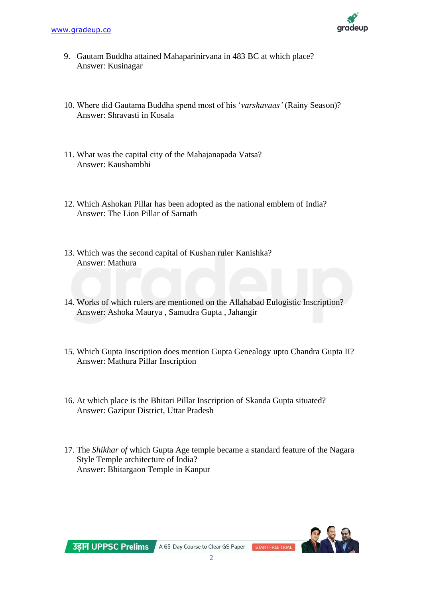

- 9. Gautam Buddha attained Mahaparinirvana in 483 BC at which place? Answer: Kusinagar
- 10. Where did Gautama Buddha spend most of his '*varshavaas'* (Rainy Season)? Answer: Shravasti in Kosala
- 11. What was the capital city of the Mahajanapada Vatsa? Answer: Kaushambhi
- 12. Which Ashokan Pillar has been adopted as the national emblem of India? Answer: The Lion Pillar of Sarnath
- 13. Which was the second capital of Kushan ruler Kanishka? Answer: Mathura
- 14. Works of which rulers are mentioned on the Allahabad Eulogistic Inscription? Answer: Ashoka Maurya , Samudra Gupta , Jahangir
- 15. Which Gupta Inscription does mention Gupta Genealogy upto Chandra Gupta II? Answer: Mathura Pillar Inscription
- 16. At which place is the Bhitari Pillar Inscription of Skanda Gupta situated? Answer: Gazipur District, Uttar Pradesh
- 17. The *Shikhar of* which Gupta Age temple became a standard feature of the Nagara Style Temple architecture of India? Answer: Bhitargaon Temple in Kanpur

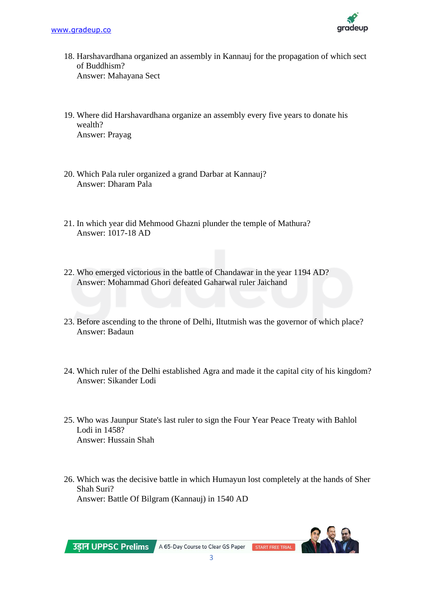

- 18. Harshavardhana organized an assembly in Kannauj for the propagation of which sect of Buddhism? Answer: Mahayana Sect
- 19. Where did Harshavardhana organize an assembly every five years to donate his wealth? Answer: Prayag
- 20. Which Pala ruler organized a grand Darbar at Kannauj? Answer: Dharam Pala
- 21. In which year did Mehmood Ghazni plunder the temple of Mathura? Answer: 1017-18 AD
- 22. Who emerged victorious in the battle of Chandawar in the year 1194 AD? Answer: Mohammad Ghori defeated Gaharwal ruler Jaichand
- 23. Before ascending to the throne of Delhi, Iltutmish was the governor of which place? Answer: Badaun
- 24. Which ruler of the Delhi established Agra and made it the capital city of his kingdom? Answer: Sikander Lodi
- 25. Who was Jaunpur State's last ruler to sign the Four Year Peace Treaty with Bahlol Lodi in 1458? Answer: Hussain Shah
- 26. Which was the decisive battle in which Humayun lost completely at the hands of Sher Shah Suri? Answer: Battle Of Bilgram (Kannauj) in 1540 AD

उड़ान UPPSC Prelims

A 65-Day Course to Clear GS Paper START FREE TRIAL

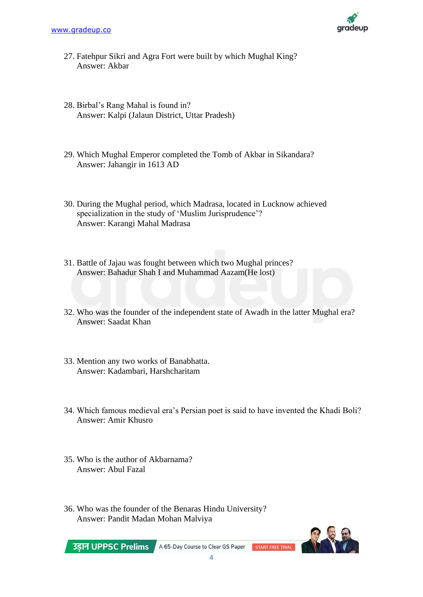

- 27. Fatehpur Sikri and Agra Fort were built by which Mughal King? Answer: Akbar
- 28. Birbal's Rang Mahal is found in? Answer: Kalpi (Jalaun District, Uttar Pradesh)
- 29. Which Mughal Emperor completed the Tomb of Akbar in Sikandara? Answer: Jahangir in 1613 AD
- 30. During the Mughal period, which Madrasa, located in Lucknow achieved specialization in the study of 'Muslim Jurisprudence'? Answer: Karangi Mahal Madrasa
- 31. Battle of Jajau was fought between which two Mughal princes? Answer: Bahadur Shah I and Muhammad Aazam(He lost)
- 32. Who was the founder of the independent state of Awadh in the latter Mughal era? Answer: Saadat Khan
- 33. Mention any two works of Banabhatta. Answer: Kadambari, Harshcharitam
- 34. Which famous medieval era's Persian poet is said to have invented the Khadi Boli? Answer: Amir Khusro
- 35. Who is the author of Akbarnama? Answer: Abul Fazal
- 36. Who was the founder of the Benaras Hindu University? Answer: Pandit Madan Mohan Malviya

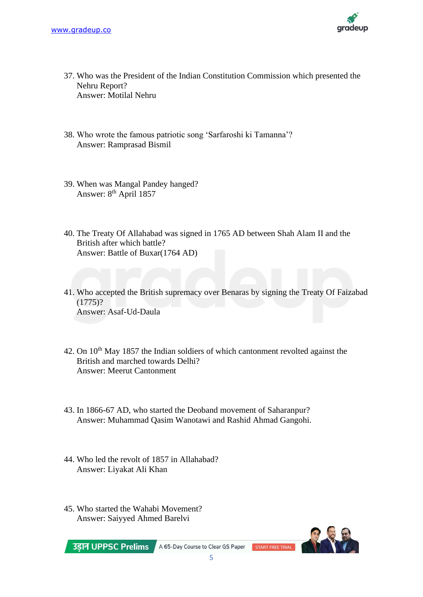

- 37. Who was the President of the Indian Constitution Commission which presented the Nehru Report? Answer: Motilal Nehru
- 38. Who wrote the famous patriotic song 'Sarfaroshi ki Tamanna'? Answer: Ramprasad Bismil
- 39. When was Mangal Pandey hanged? Answer: 8<sup>th</sup> April 1857
- 40. The Treaty Of Allahabad was signed in 1765 AD between Shah Alam II and the British after which battle? Answer: Battle of Buxar(1764 AD)
- 41. Who accepted the British supremacy over Benaras by signing the Treaty Of Faizabad  $(1775)$ ? Answer: Asaf-Ud-Daula
- 42. On 10<sup>th</sup> May 1857 the Indian soldiers of which cantonment revolted against the British and marched towards Delhi? Answer: Meerut Cantonment
- 43. In 1866-67 AD, who started the Deoband movement of Saharanpur? Answer: Muhammad Qasim Wanotawi and Rashid Ahmad Gangohi.
- 44. Who led the revolt of 1857 in Allahabad? Answer: Liyakat Ali Khan
- 45. Who started the Wahabi Movement? Answer: Saiyyed Ahmed Barelvi

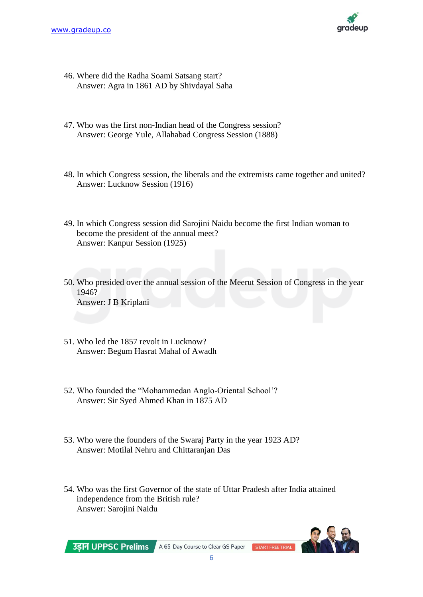

- 46. Where did the Radha Soami Satsang start? Answer: Agra in 1861 AD by Shivdayal Saha
- 47. Who was the first non-Indian head of the Congress session? Answer: George Yule, Allahabad Congress Session (1888)
- 48. In which Congress session, the liberals and the extremists came together and united? Answer: Lucknow Session (1916)
- 49. In which Congress session did Sarojini Naidu become the first Indian woman to become the president of the annual meet? Answer: Kanpur Session (1925)
- 50. Who presided over the annual session of the Meerut Session of Congress in the year 1946? Answer: J B Kriplani
- 51. Who led the 1857 revolt in Lucknow? Answer: Begum Hasrat Mahal of Awadh
- 52. Who founded the "Mohammedan Anglo-Oriental School'? Answer: Sir Syed Ahmed Khan in 1875 AD
- 53. Who were the founders of the Swaraj Party in the year 1923 AD? Answer: Motilal Nehru and Chittaranjan Das
- 54. Who was the first Governor of the state of Uttar Pradesh after India attained independence from the British rule? Answer: Sarojini Naidu

उडान UPPSC Prelims

A 65-Day Course to Clear GS Paper START FREE TRIAL

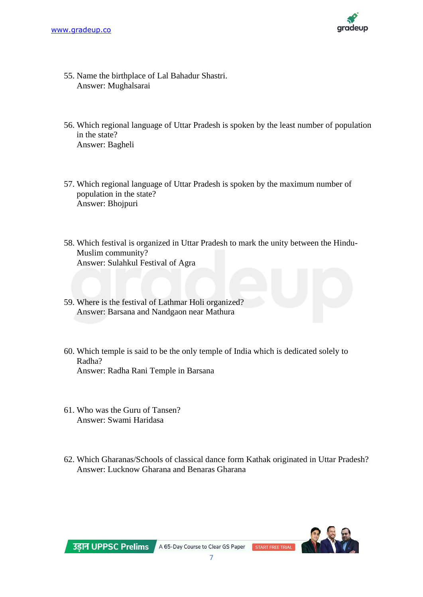

- 55. Name the birthplace of Lal Bahadur Shastri. Answer: Mughalsarai
- 56. Which regional language of Uttar Pradesh is spoken by the least number of population in the state? Answer: Bagheli
- 57. Which regional language of Uttar Pradesh is spoken by the maximum number of population in the state? Answer: Bhojpuri
- 58. Which festival is organized in Uttar Pradesh to mark the unity between the Hindu-Muslim community? Answer: Sulahkul Festival of Agra
- 59. Where is the festival of Lathmar Holi organized? Answer: Barsana and Nandgaon near Mathura
- 60. Which temple is said to be the only temple of India which is dedicated solely to Radha? Answer: Radha Rani Temple in Barsana
- 61. Who was the Guru of Tansen? Answer: Swami Haridasa
- 62. Which Gharanas/Schools of classical dance form Kathak originated in Uttar Pradesh? Answer: Lucknow Gharana and Benaras Gharana

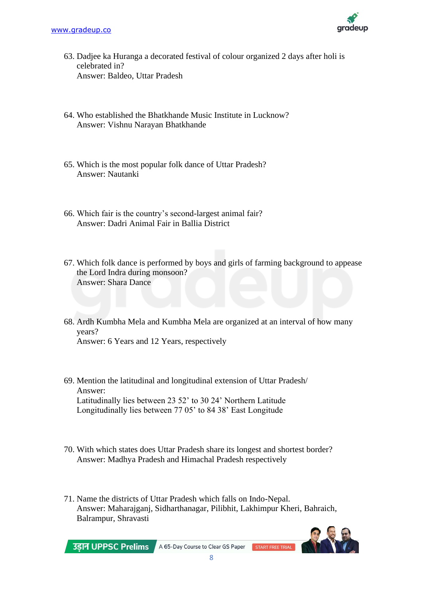

- 63. Dadjee ka Huranga a decorated festival of colour organized 2 days after holi is celebrated in? Answer: Baldeo, Uttar Pradesh
- 64. Who established the Bhatkhande Music Institute in Lucknow? Answer: Vishnu Narayan Bhatkhande
- 65. Which is the most popular folk dance of Uttar Pradesh? Answer: Nautanki
- 66. Which fair is the country's second-largest animal fair? Answer: Dadri Animal Fair in Ballia District
- 67. Which folk dance is performed by boys and girls of farming background to appease the Lord Indra during monsoon? Answer: Shara Dance
- 68. Ardh Kumbha Mela and Kumbha Mela are organized at an interval of how many years? Answer: 6 Years and 12 Years, respectively
- 69. Mention the latitudinal and longitudinal extension of Uttar Pradesh/ Answer: Latitudinally lies between 23 52' to 30 24' Northern Latitude Longitudinally lies between 77 05' to 84 38' East Longitude
- 70. With which states does Uttar Pradesh share its longest and shortest border? Answer: Madhya Pradesh and Himachal Pradesh respectively
- 71. Name the districts of Uttar Pradesh which falls on Indo-Nepal. Answer: Maharajganj, Sidharthanagar, Pilibhit, Lakhimpur Kheri, Bahraich, Balrampur, Shravasti



A 65-Day Course to Clear GS Paper START FREE TRIAL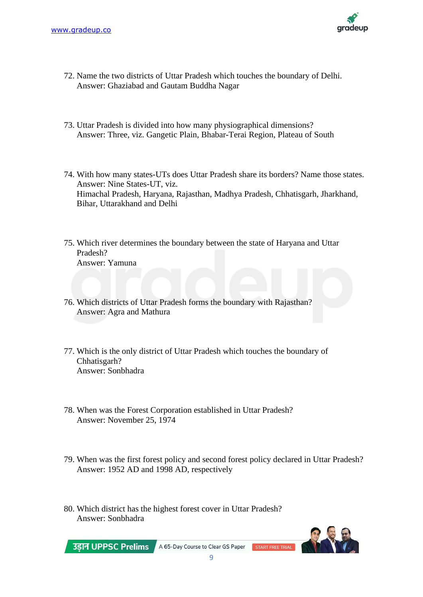

- 72. Name the two districts of Uttar Pradesh which touches the boundary of Delhi. Answer: Ghaziabad and Gautam Buddha Nagar
- 73. Uttar Pradesh is divided into how many physiographical dimensions? Answer: Three, viz. Gangetic Plain, Bhabar-Terai Region, Plateau of South
- 74. With how many states-UTs does Uttar Pradesh share its borders? Name those states. Answer: Nine States-UT, viz. Himachal Pradesh, Haryana, Rajasthan, Madhya Pradesh, Chhatisgarh, Jharkhand, Bihar, Uttarakhand and Delhi
- 75. Which river determines the boundary between the state of Haryana and Uttar Pradesh? Answer: Yamuna
- 76. Which districts of Uttar Pradesh forms the boundary with Rajasthan? Answer: Agra and Mathura
- 77. Which is the only district of Uttar Pradesh which touches the boundary of Chhatisgarh? Answer: Sonbhadra
- 78. When was the Forest Corporation established in Uttar Pradesh? Answer: November 25, 1974
- 79. When was the first forest policy and second forest policy declared in Uttar Pradesh? Answer: 1952 AD and 1998 AD, respectively
- 80. Which district has the highest forest cover in Uttar Pradesh? Answer: Sonbhadra

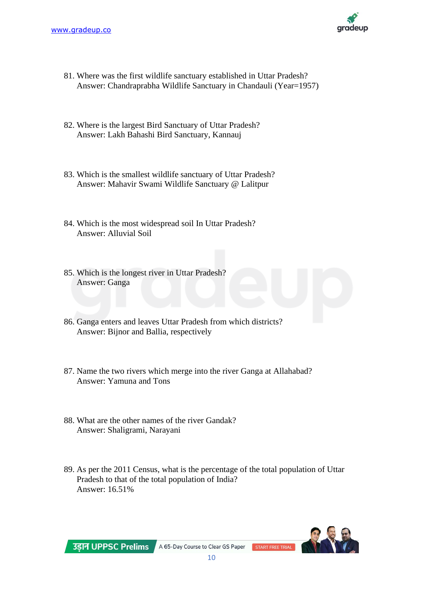

- 81. Where was the first wildlife sanctuary established in Uttar Pradesh? Answer: Chandraprabha Wildlife Sanctuary in Chandauli (Year=1957)
- 82. Where is the largest Bird Sanctuary of Uttar Pradesh? Answer: Lakh Bahashi Bird Sanctuary, Kannauj
- 83. Which is the smallest wildlife sanctuary of Uttar Pradesh? Answer: Mahavir Swami Wildlife Sanctuary @ Lalitpur
- 84. Which is the most widespread soil In Uttar Pradesh? Answer: Alluvial Soil
- 85. Which is the longest river in Uttar Pradesh? Answer: Ganga
- 86. Ganga enters and leaves Uttar Pradesh from which districts? Answer: Bijnor and Ballia, respectively
- 87. Name the two rivers which merge into the river Ganga at Allahabad? Answer: Yamuna and Tons
- 88. What are the other names of the river Gandak? Answer: Shaligrami, Narayani
- 89. As per the 2011 Census, what is the percentage of the total population of Uttar Pradesh to that of the total population of India? Answer: 16.51%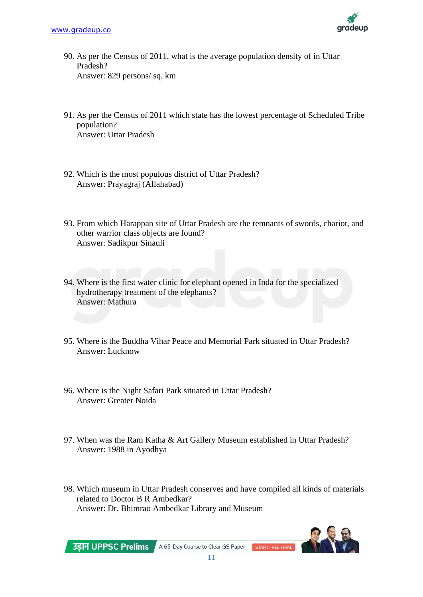

- 90. As per the Census of 2011, what is the average population density of in Uttar Pradesh? Answer: 829 persons/ sq. km
- 91. As per the Census of 2011 which state has the lowest percentage of Scheduled Tribe population? Answer: Uttar Pradesh
- 92. Which is the most populous district of Uttar Pradesh? Answer: Prayagraj (Allahabad)
- 93. From which Harappan site of Uttar Pradesh are the remnants of swords, chariot, and other warrior class objects are found? Answer: Sadikpur Sinauli
- 94. Where is the first water clinic for elephant opened in Inda for the specialized hydrotherapy treatment of the elephants? Answer: Mathura
- 95. Where is the Buddha Vihar Peace and Memorial Park situated in Uttar Pradesh? Answer: Lucknow
- 96. Where is the Night Safari Park situated in Uttar Pradesh? Answer: Greater Noida
- 97. When was the Ram Katha & Art Gallery Museum established in Uttar Pradesh? Answer: 1988 in Ayodhya
- 98. Which museum in Uttar Pradesh conserves and have compiled all kinds of materials related to Doctor B R Ambedkar? Answer: Dr. Bhimrao Ambedkar Library and Museum